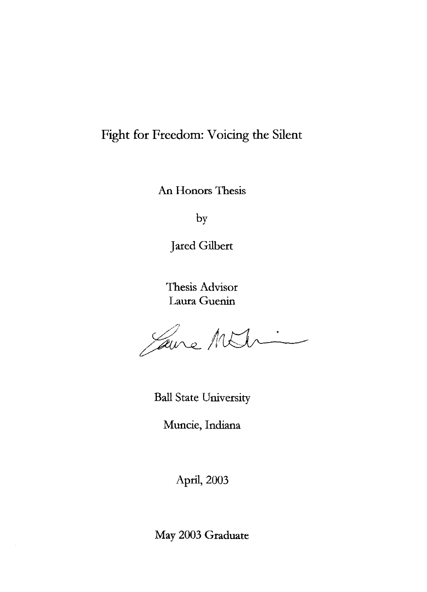# Fight for Freedom: Voicing the Silent

An Honors Thesis

by

Jared Gilbert

Thesis Advisor Laura Guenin

Saine Metri

Ball State University

Muncie, Indiana

April, 2003

May 2003 Graduate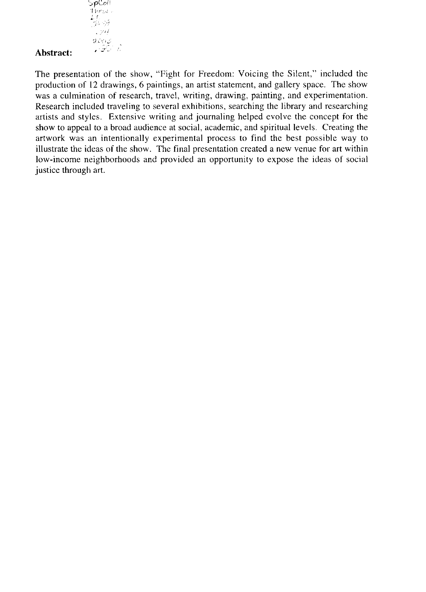

# **Abstract:**

The presentation of the show, "Fight for Freedom: Voicing the Silent," included the production of 12 drawings, 6 paintings, an artist statement, and gallery space. The show was a culmination of research, travel, writing, drawing, painting, and experimentation. Research included traveling to several exhibitions, searching the library and researching artists and styles. Extensive writing and journaling helped evolve the concept for the show to appeal to a broad audience at social, academic, and spiritual levels. Creating the artwork was an intentionally experimental process to find the best possible way to illustrate the ideas of the show. The final presentation created a new venue for art within low-income neighborhoods and provided an opportunity to expose the ideas of social justice through art.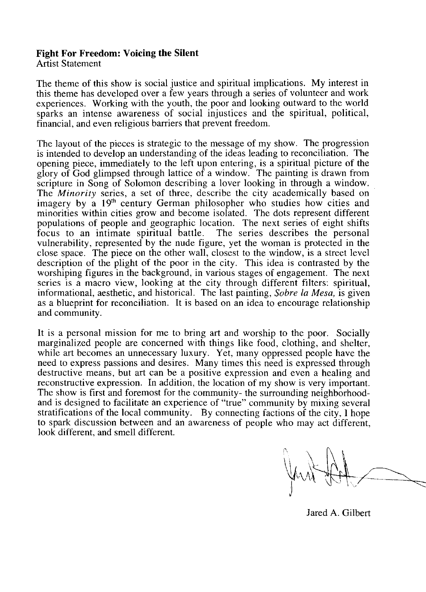#### **Fight For Freedom: Voicing the Silent**

Artist Statement

The theme of this show is social justice and spiritual implications. My interest in this theme has developed over a few years through a series of volunteer and work experiences. Working with the youth, the poor and looking outward to the world sparks an intense awareness of social injustices and the spiritual, political, financial, and even religious barriers that prevent freedom.

The layout of the pieces is strategic to the message of my show. The progression is intended to develop an understanding of the ideas leading to reconciliation. The opening piece, immediately to the left upon entering, is a spiritual picture of the glory of God glimpsed through lattice of a window. The painting is drawn from scripture in Song of Solomon describing a lover looking in through a window. The *Minority* series, a set of three, describe the city academically based on imagery by a  $19<sup>th</sup>$  century German philosopher who studies how cities and minorities within cities grow and become isolated. The dots represent different populations of people and geographic location. The next series of eight shifts focus to an intimate spiritual battle. vulnerability, represented by the nude figure, yet the woman is protected in the close space. The piece on the other wall, closest to the window, is a street level description of the plight of the poor in the city. This idea is contrasted by the worshiping figures in the background, in various stages of engagement. The next series is a macro view, looking at the city through different filters: spiritual, informational, aesthetic, and historical. The last painting, *Sobre La Mesa,* is given as a blueprint for reconciliation. It is based on an idea to encourage relationship and community.

It is a personal mission for me to bring art and worship to the poor. Socially marginalized people are concerned with things like food, clothing, and shelter, while art becomes an unnecessary luxury. Yet, many oppressed people have the need to express passions and desires. Many times this need is expressed through destructive means, but art can be a positive expression and even a healing and reconstructive expression. In addition. the location of my show is very important. The show is first and foremost for the community- the surrounding neighborhoodand is designed to facilitate an experience of "true" community by mixing several stratifications of the local community. By connecting factions of the city, I hope to spark discussion between and an awareness of people who may act different, look different, and smell different.

 $\,\,\mathrm{V}\,\mathrm{V}\,\mathrm{V}\,\mathrm{V}$ 

Jared A. Gilbert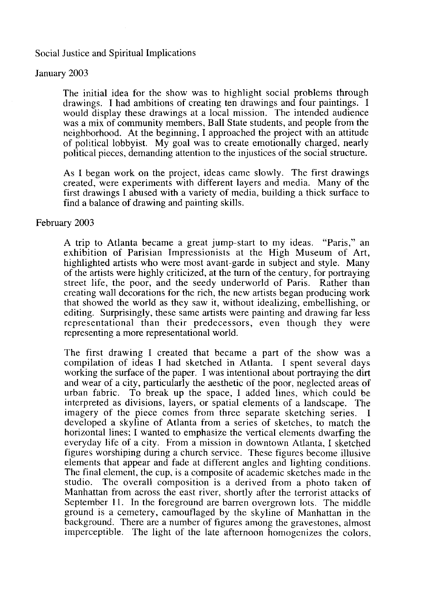Social Justice and Spiritual Implications

January 2003

The initial idea for the show was to highlight social problems through drawings. I had ambitions of creating ten drawings and four paintings. I would display these drawings at a local mission. The intended audience was a mix of community members, Ball State students, and people from the neighborhood. At the beginning, I approached the project with an attitude of political lobbyist. My goal was to create emotionally charged, nearly political pieces, demanding attention to the injustices of the social structure.

As I began work on the project, ideas came slowly. The first drawings created, were experiments with different layers and media. Many of the first drawings I abused with a variety of media, building a thick surface to find a balance of drawing and painting skills.

February 2003

A trip to Atlanta became a great jump-start to my ideas. "Paris," an exhibition of Parisian Impressionists at the High Museum of Art, highlighted artists who were most avant-garde in subject and style. Many of the artists were highly criticized, at the turn of the century, for portraying street life, the poor, and the seedy underworld of Paris. Rather than creating wall decorations for the rich, the new artists began producing work that showed the world as they saw it, without idealizing, embellishing, or editing. Surprisingly, these same artists were painting and drawing far less representational than their predecessors, even though they were representing a more representational world.

The first drawing I created that became a part of the show was a compilation of ideas I had sketched in Atlanta. I spent several days working the surface of the paper. I was intentional about portraying the dirt and wear of a city, particularly the aesthetic of the poor, neglected areas of urban fabric. To break up the space, I added lines, which could be interpreted as divisions, layers, or spatial elements of a landscape. The imagery of the piece comes from three separate sketching series. I developed a skyline of Atlanta from a series of sketches, to match the horizontal lines; I wanted to emphasize the vertical elements dwarfing the everyday life of a city. From a mission in downtown Atlanta, I sketched figures worshiping during a church service. These figures become illusive elements that appear and fade at different angles and lighting conditions. The final element, the cup, is a composite of academic sketches made in the studio. The overall composition is a derived from a photo taken of Manhattan from across the east river, shortly after the terrorist attacks of September II. **In** the foreground are barren overgrown lots. The middle ground is a cemetery, camouflaged by the skyline of Manhattan in the background. There are a number of figures among the gravestones, almost imperceptible. The light of the late afternoon homogenizes the colors,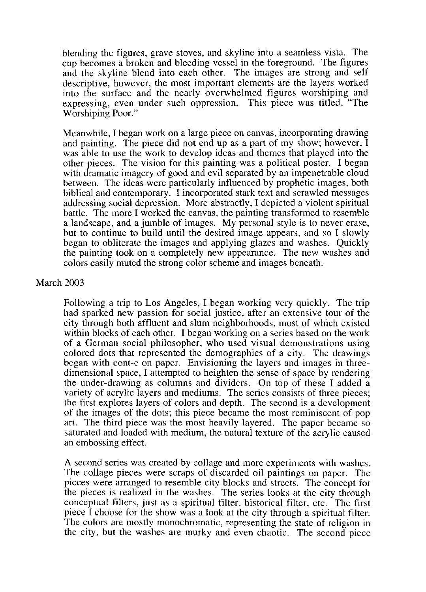blending the figures, grave stoves, and skyline into a seamless vista. The cup becomes a broken and bleeding vessel in the foreground. The figures and the sky line blend into each other. The images are strong and self descriptive, however, the most important elements are the layers worked into the surface and the nearly overwhelmed figures worshiping and expressing, even under such oppression. This piece was titled, "The Worshiping Poor."

Meanwhile, I began work on a large piece on canvas, incorporating drawing and painting. The piece did not end up as a part of my show; however, I was able to use the work to develop ideas and themes that played into the other pieces. The vision for this painting was a political poster. I began with dramatic imagery of good and evil separated by an impenetrable cloud between. The ideas were particularly influenced by prophetic images, both biblical and contemporary. I incorporated stark text and scrawled messages addressing social depression. More abstractly, I depicted a violent spiritual battle. The more I worked the canvas, the painting transformed to resemble a landscape, and a jumble of images. My personal style is to never erase, but to continue to build until the desired image appears, and so I slowly began to obliterate the images and applying glazes and washes. Quickly the painting took on a completely new appearance. The new washes and colors easily muted the strong color scheme and images beneath.

#### March 2003

Following a trip to Los Angeles, I began working very quickly. The trip had sparked new passion for social justice, after an extensive tour of the city through both affluent and slum neighborhoods, most of which existed within blocks of each other. I began working on a series based on the work of a German social philosopher, who used visual demonstrations using colored dots that represented the demographics of a city. The drawings began with cont-e on paper. Envisioning the layers and images in threedimensional space, I attempted to heighten the sense of space by rendering the under-drawing as columns and dividers. On top of these I added a variety of acrylic layers and mediums. The series consists of three pieces; the first explores layers of colors and depth. The second is a development of the images of the dots; this piece became the most reminiscent of pop art. The third piece was the most heavily layered. The paper became so saturated and loaded with medium, the natural texture of the acrylic caused an embossing effect.

A second series was created by collage and more experiments with washes. The collage pieces were scraps of discarded oil paintings on paper. The pieces were arranged to resemble city blocks and streets. The concept for the pieces is realized in the washes. The series looks at the city through conceptual filters, just as a spiritual filter, historical filter, etc. The first piece [ choose for the show was a look at the city through a spiritual filter. The colors are mostly monochromatic, representing the state of religion in the city, but the washes are murky and even chaotic. The second piece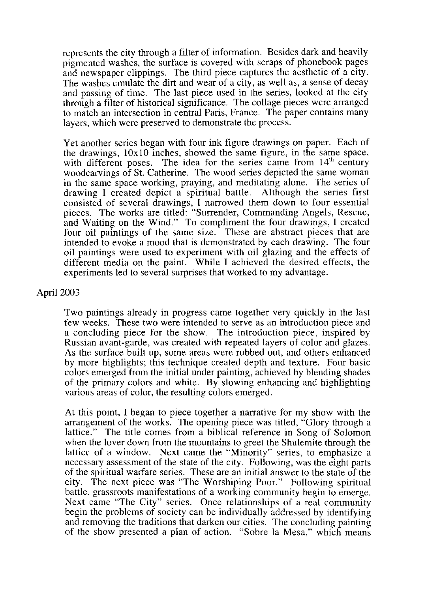represents the city through a filter of information. Besides dark and heavily pigmented washes, the surface is covered with scraps of phonebook pages and newspaper clippings. The third piece captures the aesthetic of a city. The washes emulate the dirt and wear of a city, as well as, a sense of decay and passing of time. The last piece used in the series, looked at the city through a filter of historical significance. The collage pieces were arranged to match an intersection in central Paris, France. The paper contains many layers, which were preserved to demonstrate the process.

Yet another series began with four ink figure drawings on paper. Each of the drawings,  $10x10$  inches, showed the same figure, in the same space, with different poses. The idea for the series came from  $14<sup>th</sup>$  century woodcarvings of St. Catherine. The wood series depicted the same woman in the same space working, praying, and meditating alone. The series of drawing I created depict a spiritual battle. Although the series first consisted of several drawings, I narrowed them down to four essential pieces. The works are titled: "Surrender, Commanding Angels, Rescue, and Waiting on the Wind." To compliment the four drawings, I created four oil paintings of the same size. These are abstract pieces that are intended to evoke a mood that is demonstrated by each drawing. The four oil paintings were used to experiment with oil glazing and the effects of different media on the paint. While I achieved the desired effects, the experiments led to several surprises that worked to my advantage.

### April 2003

Two paintings already in progress came together very quickly in the last few weeks. These two were intended to serve as an introduction piece and a concluding piece for the show. The introduction piece, inspired by Russian avant-garde, was created with repeated layers of color and glazes. As the surface built up, some areas were rubbed out, and others enhanced by more highlights; this technique created depth and texture. Four basic colors emerged from the initial under painting, achieved by blending shades of the primary colors and white. By slowing enhancing and highlighting various areas of color, the resulting colors emerged.

At this point, I began to piece together a narrative for my show with the arrangement of the works. The opening piece was titled, "Glory through a lattice." The title comes from a biblical reference in Song of Solomon when the lover down from the mountains to greet the Shulemite through the lattice of a window. Next came the "Minority" series, to emphasize a necessary assessment of the state of the city. Following, was the eight parts of the spiritual warfare series. These are an initial answer to the state of the city. The next piece was "The Worshiping Poor." Following spiritual battie, grassroots manifestations of a working community begin to emerge. Next came "The City" series. Once relationships of a real community begin the problems of society can be individually addressed by identifying and removing the traditions that darken our cities. The concluding painting of the show presented a plan of action. "Sobre la Mesa," which means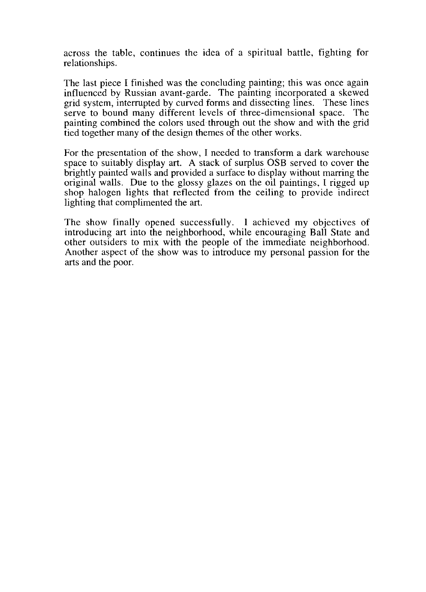across the table, continues the idea of a spiritual battle, fighting for relationships.

The last piece I finished was the concluding painting; this was once again influenced by Russian avant-garde. The painting incorporated a skewed grid system, interrupted by curved forms and dissecting lines. These lines serve to bound many different levels of three-dimensional space. The painting combined the colors used through out the show and with the grid tied together many of the design themes of the other works.

For the presentation of the show, I needed to transform a dark warehouse space to suitably display art. A stack of surplus OSB served to cover the brightly painted walls and provided a surface to display without marring the original walls. Due to the glossy glazes on the oil paintings, I rigged up shop halogen lights that reflected from the ceiling to provide indirect lighting that complimented the art.

The show finally opened successfully. I achieved my objectives of introducing art into the neighborhood, while encouraging Ball State and other outsiders to mix with the people of the immediate neighborhood. Another aspect of the show was to introduce my personal passion for the arts and the poor.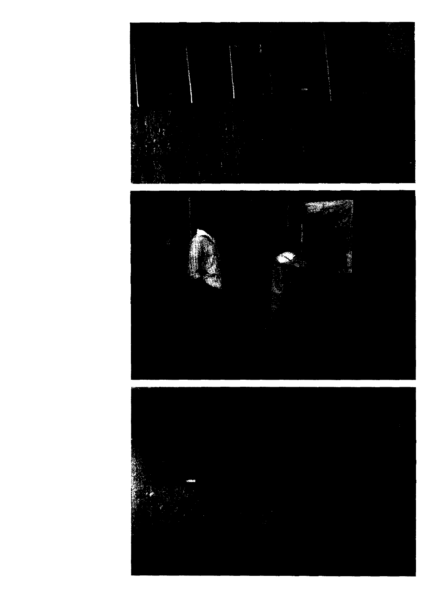